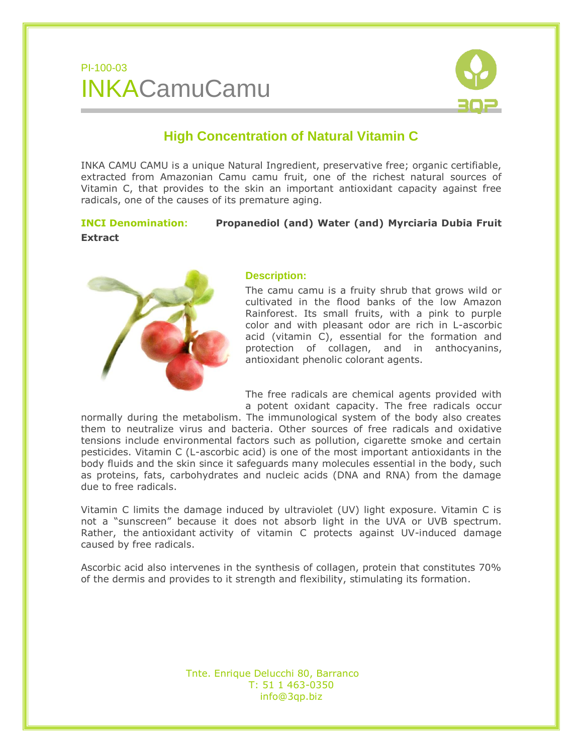## PI-100-03 INKACamuCamu



### **High Concentration of Natural Vitamin C**

INKA CAMU CAMU is a unique Natural Ingredient, preservative free; organic certifiable, extracted from Amazonian Camu camu fruit, one of the richest natural sources of Vitamin C, that provides to the skin an important antioxidant capacity against free radicals, one of the causes of its premature aging.

### **INCI Denomination: Propanediol (and) Water (and) Myrciaria Dubia Fruit Extract**



#### **Description:**

The camu camu is a fruity shrub that grows wild or cultivated in the flood banks of the low Amazon Rainforest. Its small fruits, with a pink to purple color and with pleasant odor are rich in L-ascorbic acid (vitamin C), essential for the formation and protection of collagen, and in anthocyanins, antioxidant phenolic colorant agents.

The free radicals are chemical agents provided with a potent oxidant capacity. The free radicals occur

normally during the metabolism. The immunological system of the body also creates them to neutralize virus and bacteria. Other sources of free radicals and oxidative tensions include environmental factors such as pollution, cigarette smoke and certain pesticides. Vitamin C (L-ascorbic acid) is one of the most important antioxidants in the body fluids and the skin since it safeguards many molecules essential in the body, such as proteins, fats, carbohydrates and nucleic acids (DNA and RNA) from the damage due to free radicals.

Vitamin C limits the damage induced by ultraviolet (UV) light exposure. Vitamin C is not a "sunscreen" because it does not absorb light in the UVA or UVB spectrum. Rather, the [antioxidant](http://lpi.oregonstate.edu/infocenter/glossary.html#antioxidant) activity of vitamin C protects against UV-induced damage caused by [free radicals.](http://lpi.oregonstate.edu/infocenter/glossary.html#free radical)

Ascorbic acid also intervenes in the synthesis of collagen, protein that constitutes 70% of the dermis and provides to it strength and flexibility, stimulating its formation.

> Tnte. Enrique Delucchi 80, Barranco T: 51 1 463-0350 info@3qp.biz